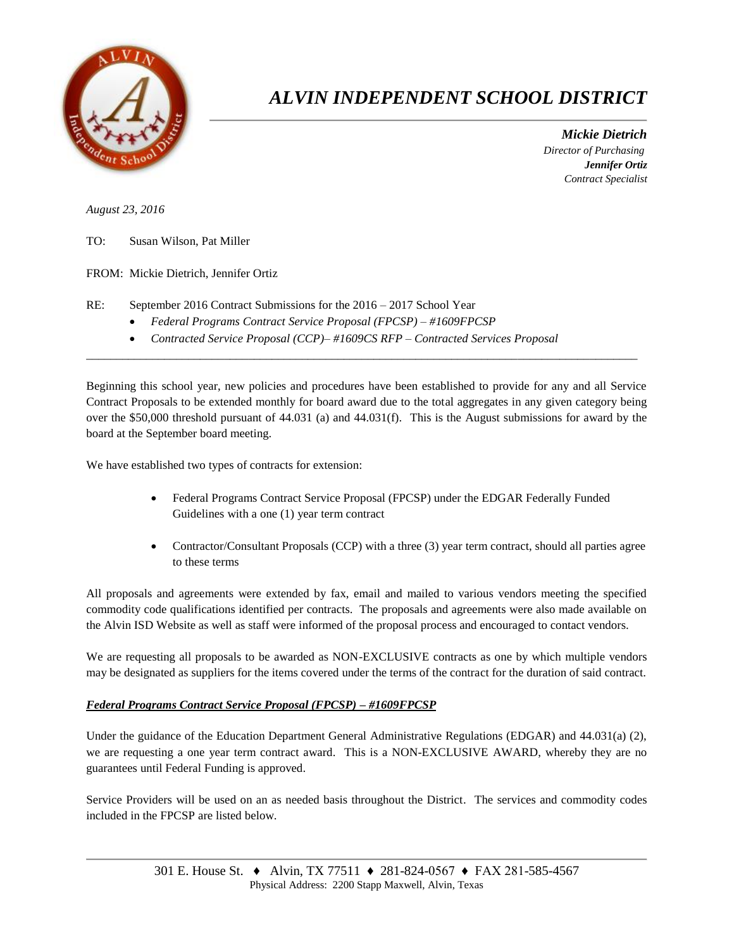

## *ALVIN INDEPENDENT SCHOOL DISTRICT*

 *Mickie Dietrich Director of Purchasing Jennifer Ortiz Contract Specialist*

*August 23, 2016*

TO: Susan Wilson, Pat Miller

FROM: Mickie Dietrich, Jennifer Ortiz

- RE: September 2016 Contract Submissions for the 2016 2017 School Year
	- *Federal Programs Contract Service Proposal (FPCSP) – #1609FPCSP*
	- *Contracted Service Proposal (CCP)– #1609CS RFP – Contracted Services Proposal*

Beginning this school year, new policies and procedures have been established to provide for any and all Service Contract Proposals to be extended monthly for board award due to the total aggregates in any given category being over the \$50,000 threshold pursuant of 44.031 (a) and 44.031(f). This is the August submissions for award by the board at the September board meeting.

 $\overline{a}$  , and the state of the state of the state of the state of the state of the state of the state of the state of the state of the state of the state of the state of the state of the state of the state of the state o

We have established two types of contracts for extension:

- Federal Programs Contract Service Proposal (FPCSP) under the EDGAR Federally Funded Guidelines with a one (1) year term contract
- Contractor/Consultant Proposals (CCP) with a three (3) year term contract, should all parties agree to these terms

All proposals and agreements were extended by fax, email and mailed to various vendors meeting the specified commodity code qualifications identified per contracts. The proposals and agreements were also made available on the Alvin ISD Website as well as staff were informed of the proposal process and encouraged to contact vendors.

We are requesting all proposals to be awarded as NON-EXCLUSIVE contracts as one by which multiple vendors may be designated as suppliers for the items covered under the terms of the contract for the duration of said contract.

## *Federal Programs Contract Service Proposal (FPCSP) – #1609FPCSP*

Under the guidance of the Education Department General Administrative Regulations (EDGAR) and 44.031(a) (2), we are requesting a one year term contract award. This is a NON-EXCLUSIVE AWARD, whereby they are no guarantees until Federal Funding is approved.

Service Providers will be used on an as needed basis throughout the District. The services and commodity codes included in the FPCSP are listed below.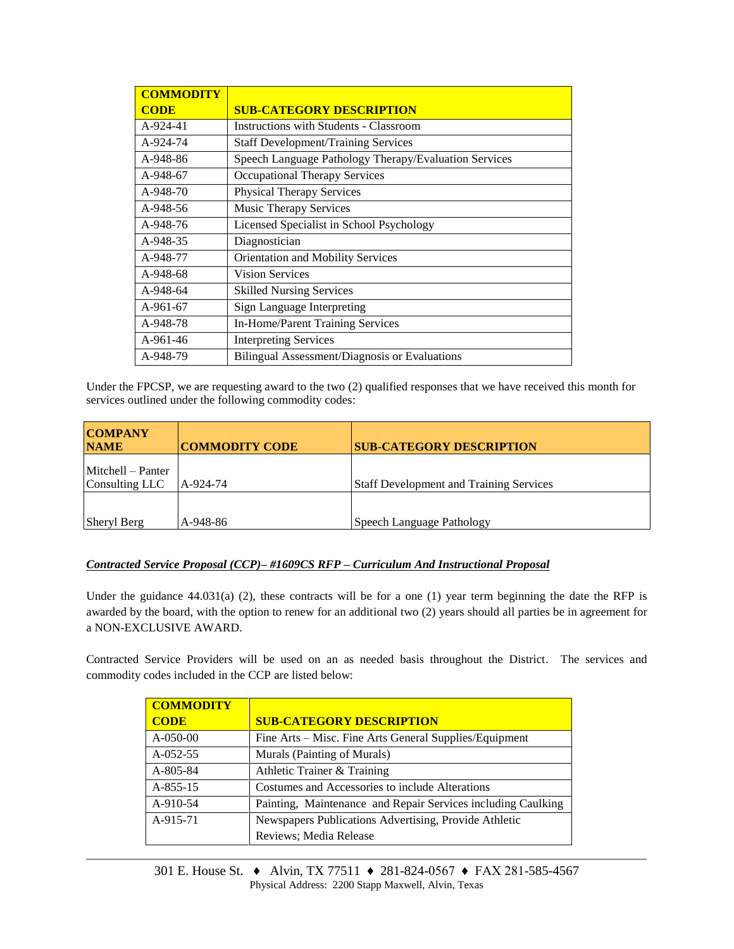| <b>COMMODITY</b> |                                                       |  |  |  |
|------------------|-------------------------------------------------------|--|--|--|
| <b>CODE</b>      | <b>SUB-CATEGORY DESCRIPTION</b>                       |  |  |  |
| A-924-41         | <b>Instructions with Students - Classroom</b>         |  |  |  |
| A-924-74         | <b>Staff Development/Training Services</b>            |  |  |  |
| A-948-86         | Speech Language Pathology Therapy/Evaluation Services |  |  |  |
| A-948-67         | Occupational Therapy Services                         |  |  |  |
| A-948-70         | <b>Physical Therapy Services</b>                      |  |  |  |
| A-948-56         | Music Therapy Services                                |  |  |  |
| A-948-76         | Licensed Specialist in School Psychology              |  |  |  |
| A-948-35         | Diagnostician                                         |  |  |  |
| A-948-77         | Orientation and Mobility Services                     |  |  |  |
| A-948-68         | <b>Vision Services</b>                                |  |  |  |
| A-948-64         | <b>Skilled Nursing Services</b>                       |  |  |  |
| $A-961-67$       | Sign Language Interpreting                            |  |  |  |
| A-948-78         | In-Home/Parent Training Services                      |  |  |  |
| $A-961-46$       | <b>Interpreting Services</b>                          |  |  |  |
| A-948-79         | Bilingual Assessment/Diagnosis or Evaluations         |  |  |  |

Under the FPCSP, we are requesting award to the two (2) qualified responses that we have received this month for services outlined under the following commodity codes:

| <b>COMPANY</b><br><b>NAME</b>       | <b>COMMODITY CODE</b> | <b>SUB-CATEGORY DESCRIPTION</b>                |
|-------------------------------------|-----------------------|------------------------------------------------|
| Mitchell – Panter<br>Consulting LLC | A-924-74              | <b>Staff Development and Training Services</b> |
| Sheryl Berg                         | A-948-86              | Speech Language Pathology                      |

## *Contracted Service Proposal (CCP)– #1609CS RFP – Curriculum And Instructional Proposal*

Under the guidance  $44.031(a)$  (2), these contracts will be for a one (1) year term beginning the date the RFP is awarded by the board, with the option to renew for an additional two (2) years should all parties be in agreement for a NON-EXCLUSIVE AWARD.

Contracted Service Providers will be used on an as needed basis throughout the District. The services and commodity codes included in the CCP are listed below:

| <b>COMMODITY</b> |                                                              |
|------------------|--------------------------------------------------------------|
| <b>CODE</b>      | <b>SUB-CATEGORY DESCRIPTION</b>                              |
| $A-050-00$       | Fine Arts – Misc. Fine Arts General Supplies/Equipment       |
| $A-052-55$       | Murals (Painting of Murals)                                  |
| A-805-84         | Athletic Trainer & Training                                  |
| $A-855-15$       | Costumes and Accessories to include Alterations              |
| A-910-54         | Painting, Maintenance and Repair Services including Caulking |
| A-915-71         | Newspapers Publications Advertising, Provide Athletic        |
|                  | Reviews; Media Release                                       |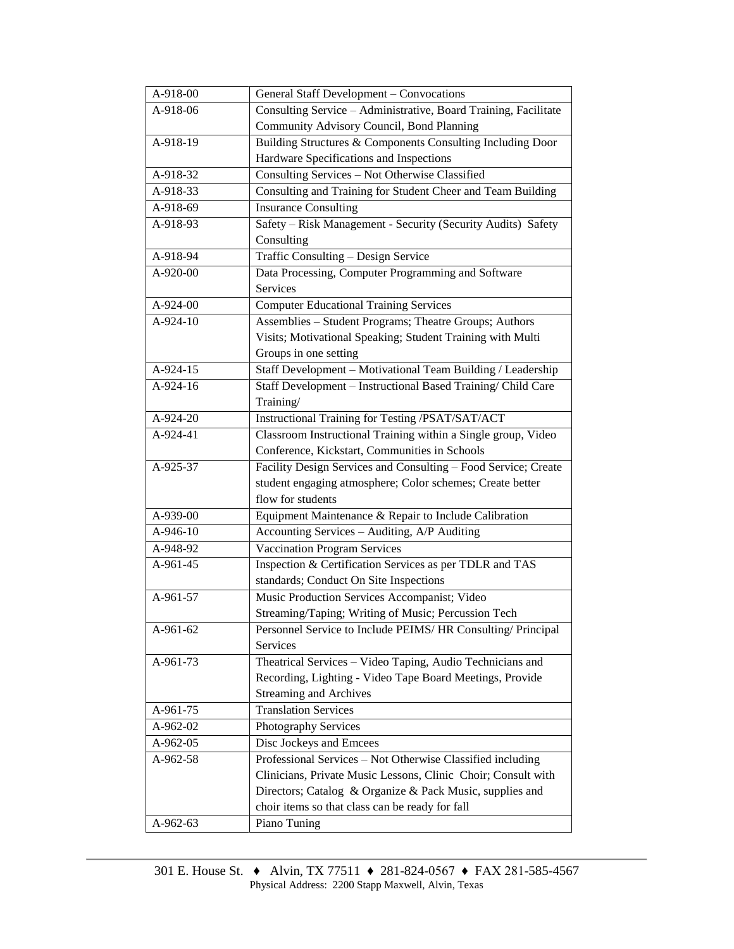| A-918-00   | <b>General Staff Development - Convocations</b>                 |  |  |  |
|------------|-----------------------------------------------------------------|--|--|--|
| A-918-06   | Consulting Service - Administrative, Board Training, Facilitate |  |  |  |
|            | Community Advisory Council, Bond Planning                       |  |  |  |
| A-918-19   | Building Structures & Components Consulting Including Door      |  |  |  |
|            | Hardware Specifications and Inspections                         |  |  |  |
| A-918-32   | Consulting Services - Not Otherwise Classified                  |  |  |  |
| A-918-33   | Consulting and Training for Student Cheer and Team Building     |  |  |  |
| A-918-69   | <b>Insurance Consulting</b>                                     |  |  |  |
| A-918-93   | Safety - Risk Management - Security (Security Audits) Safety    |  |  |  |
|            | Consulting                                                      |  |  |  |
| A-918-94   | Traffic Consulting - Design Service                             |  |  |  |
| A-920-00   | Data Processing, Computer Programming and Software              |  |  |  |
|            | Services                                                        |  |  |  |
| A-924-00   | <b>Computer Educational Training Services</b>                   |  |  |  |
| A-924-10   | Assemblies - Student Programs; Theatre Groups; Authors          |  |  |  |
|            | Visits; Motivational Speaking; Student Training with Multi      |  |  |  |
|            | Groups in one setting                                           |  |  |  |
| A-924-15   | Staff Development - Motivational Team Building / Leadership     |  |  |  |
| A-924-16   | Staff Development - Instructional Based Training/ Child Care    |  |  |  |
|            | Training/                                                       |  |  |  |
| A-924-20   | Instructional Training for Testing /PSAT/SAT/ACT                |  |  |  |
| A-924-41   | Classroom Instructional Training within a Single group, Video   |  |  |  |
|            | Conference, Kickstart, Communities in Schools                   |  |  |  |
| A-925-37   | Facility Design Services and Consulting - Food Service; Create  |  |  |  |
|            | student engaging atmosphere; Color schemes; Create better       |  |  |  |
|            | flow for students                                               |  |  |  |
| A-939-00   | Equipment Maintenance & Repair to Include Calibration           |  |  |  |
| A-946-10   | Accounting Services - Auditing, A/P Auditing                    |  |  |  |
| A-948-92   | <b>Vaccination Program Services</b>                             |  |  |  |
| $A-961-45$ | Inspection & Certification Services as per TDLR and TAS         |  |  |  |
|            | standards; Conduct On Site Inspections                          |  |  |  |
| $A-961-57$ | Music Production Services Accompanist; Video                    |  |  |  |
|            | Streaming/Taping; Writing of Music; Percussion Tech             |  |  |  |
| A-961-62   | Personnel Service to Include PEIMS/ HR Consulting/ Principal    |  |  |  |
|            | Services                                                        |  |  |  |
| A-961-73   | Theatrical Services - Video Taping, Audio Technicians and       |  |  |  |
|            | Recording, Lighting - Video Tape Board Meetings, Provide        |  |  |  |
|            | <b>Streaming and Archives</b>                                   |  |  |  |
| A-961-75   | <b>Translation Services</b>                                     |  |  |  |
| A-962-02   | Photography Services                                            |  |  |  |
| A-962-05   | Disc Jockeys and Emcees                                         |  |  |  |
| A-962-58   | Professional Services - Not Otherwise Classified including      |  |  |  |
|            | Clinicians, Private Music Lessons, Clinic Choir; Consult with   |  |  |  |
|            | Directors; Catalog & Organize & Pack Music, supplies and        |  |  |  |
|            | choir items so that class can be ready for fall                 |  |  |  |
| A-962-63   | Piano Tuning                                                    |  |  |  |